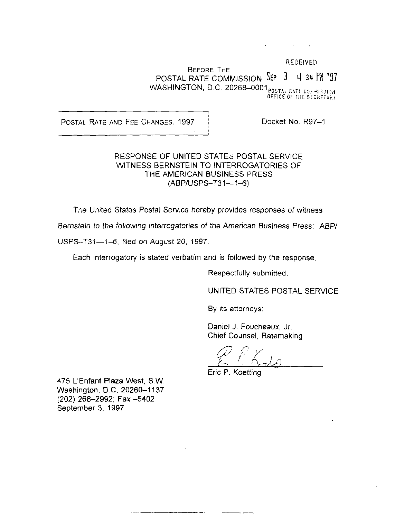RECEIVED. BEFORE THE POSTAL RATE COMMISSION SEP 3 4 34 PM '97 WASHINGTON, D.C. 20268–0001 $_{\tt{POSTAERATL~CGHHS}$ iji OFFICE OF THE SECRETAR

POSTAL RATE AND FEE CHANGES, 1997 | Docket No. R97-1

#### RESPONSE OF UNITED STATES POSTAL SERVICE WITNESS BERNSTEIN TO INTERROGATORIES OF THE AMERICAN BUSINESS PRESS  $(ABP/USPS - T31 - 1 - 6)$

The United States Postal Service hereby provides responses of witness

Bernstein to the following interrogatories of the American Business Press: ABP/

USPS--T31-1-6, filed on August 20, 1997.

Each interrogatory is stated verbatim and is followed by the response.

Respectfully submitted,

UNITED STATES POSTAL SERVICE

By its attorneys:

Daniel J. Foucheaux, Jr. Chief Counsel, Ratemaking

 $\varphi$  t; l

Eric P. Koetting

475 L'Enfant Plaza West, S.W. Washington, D.C. 20260-1137 (202) 268-2992; Fax -5402 September 3, 1997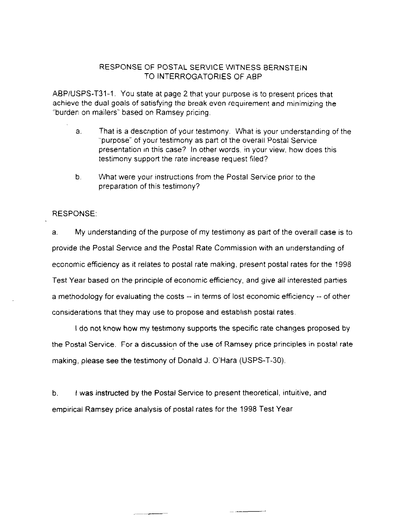ABP/USPS-T31-1. You state at page 2 that your purpose is to present prices that achieve the dual goals of satisfying the break even requirement and minimizing the "burderl on mailers" based on Ramsey pricing.

- a. That is a descnption of your testimony. What is your understanding of the "purpose" of your testimony as part of the overall Postal Service presentation in this case? In other words, in your view, how does this testimony support the rate increase request filed?
- b. What were your instructions from the Postal Service prior to the preparation of this testimony?

#### RESPONSE:

a. My understanding of the purpose of my testimony as part of the overall case is to provide the Postal Servrce and the Postal Rate Commission with an understanding of economic efficiency as it relates to postal rate making, present postal rates for the 1998 Test Year based on the principle of economic efficiency, and give all interested parties a methodology for evaluating the costs -- in terms of lost economic efficiency -- of other considerations that they may use to propose and establish postal rates.

I do not know how my testrmony supports the specific rate changes proposed by the Postal Service. For a discussion of the use of Ramsey price principles in postal rate making, please see the testimony of Donald J. O'Hara (USPS-T-30).

b. I was instructed by the Postal Service to present theoretical, intuitive, and empirical Ramsey price analysis of postal rates for the 1998 Test Year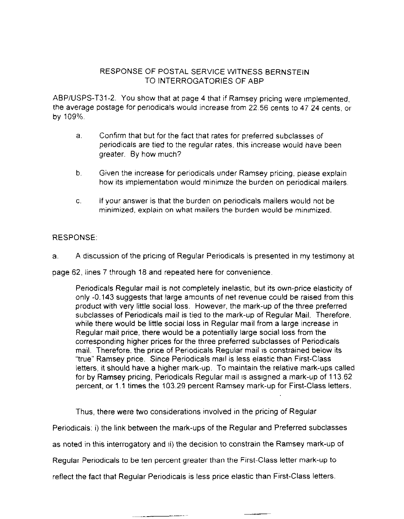ABP/USPS-T31-2. YOU show that at page 4 that if Ramsey pricing were Implemented, the average postage for penodicals would increase from 22.56 cents to 47 24 cents, or by 109%

- a. Confirm that but for the fact that rates for preferred subclasses of periodicals are tied to the regular rates, this increase would have been greater. By how much?
- b. Given the increase for periodicals under Ramsey pricing, please explain how its implementation would minimrze the burden on periodical mailers
- C. If your answer is that the burden on periodicals mailers would not be minimized, explain on what mailers the burden would be minimized.

# RESPONSE:

a. A discussion of the pricing of Regular Periodicals is presented in my testimony at

page 62, lines 7 through 18 and repeated here for convenience

Periodicals Regular mail is not completely inelastic, but its own-price elasticity of only -0.143 suggests that large amounts of net revenue could be raised from this product with very little social loss. However, the mark-up of the three preferred subclasses of Periodicals mail is tied to the mark-up of Regular Mail. Therefore, while there would be little social loss in Regular mail from a large increase in Regular mail price, there would be a potentially large social loss, from the corresponding higher prices for the three preferred subclasses of Periodicals mail. Therefore, the price of Periodicals Regular mail is constrained below its "true" Ramsey price. Since Periodicals mail is less elastic than First-Class letters, it should have a higher mark-up. To maintain the relative mark-ups called for by Ramsey pricing, Periodicals Regular mail IS assigned a mark-up of 113.62 percent, or 1 .I times the 103.29 percent Ramsey mark-up for First-Class letters.

Thus, there were two considerations involved in the pricing of Regular

Periodicals: i) the link between the mark-ups of the Regular and Preferred subclasses

as noted in this interrogatory and ii) the decision to constrain the Ramsey mark-up of

Regular Periodicals to be ten percent greater than the First-Class letter mark-up to

reflect the fact that Regular Periodicals is less price elastic than First-Class letters.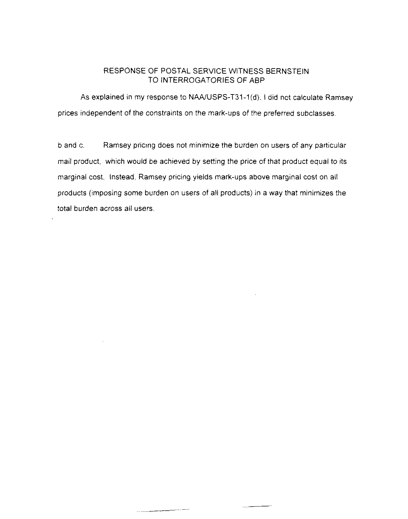As explained in my response to NAA/USPS-T31-1(d), I did not calculate Ramsey prices independent of the constraints on the mark-ups of the preferred subclasses.

b and c. Ramsey pricing does not minimize the burden on users of any particular mail product, which would be achieved by setting the price of that product equal to its marginal cost. Instead, Ramsey pricing yields mark-ups above marginal cost on all products (imposing some burden on users of all products) in a way that minimizes the total burden across all users.

والمستعمل والمستندر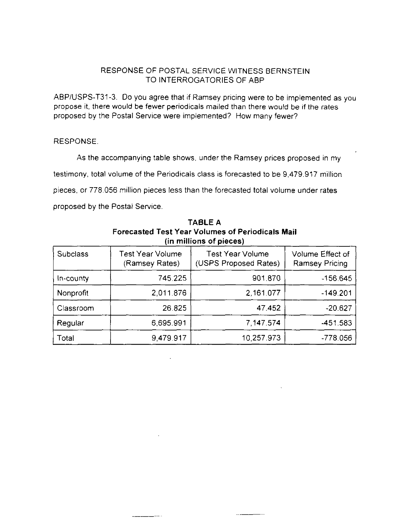ABPIUSPS-T31-3. Do you agree that if Ramsey pricing were to be irnplemented as you propose it, there would be fewer periodicals mailed than there would be if the rates proposed by the Postal Service were implemented? How many fewer?

#### RESPONSE.

As the accompanying table shows, under the Ramsey prices proposed in my testimony, total volume of the Periodicals class is forecasted to be 9.479.917 million pieces, or 778.056 million pieces less than the forecasted total volume under rates proposed by the Postal Service.

| (In millions of pieces) |                                    |                                                  |                                           |  |  |
|-------------------------|------------------------------------|--------------------------------------------------|-------------------------------------------|--|--|
| <b>Subclass</b>         | Test Year Volume<br>(Ramsey Rates) | <b>Test Year Volume</b><br>(USPS Proposed Rates) | Volume Effect of<br><b>Ramsey Pricing</b> |  |  |
| In-county               | 745.225                            | 901.870                                          | $-156.645$                                |  |  |
| Nonprofit               | 2,011.876                          | 2,161.077                                        | $-149.201$                                |  |  |
| Classroom               | 26.825                             | 47.452                                           | $-20.627$                                 |  |  |
| Regular                 | 6,695.991                          | 7.147.574                                        | -451.583                                  |  |  |
| Total                   | 9,479.917                          | 10,257.973                                       | $-778.056$                                |  |  |

TABLE A Forecasted Test Year Volumes of Periodicals Mail  $T_{\rm e}$   $\sim$   $\epsilon$   $\sim$   $\sim$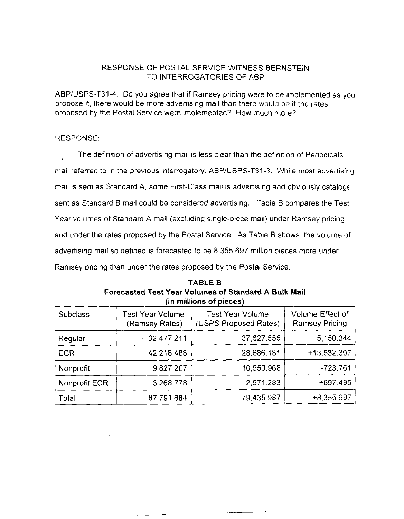ABP/USPS-T31-4. Do you agree that if Ramsey pricing were to be implemented as you propose it, there would be more advertising mail than there would be if the rates proposed by the Postal Service were implemented? How much more?

## RESPONSE:

'The definition of advertising mail is less clear than the definition of Periodicals mail referred to in the previous interrogatory, ABP/USPS-T31-3. While most advertising mail is sent as Standard A, some First-Class mail is advertising and obviously catalogs sent as Standard B mail could be considered advertising. Table B compares the Test Year volumes of Standard A mail (excluding single-piece mail) under Ramsey pricing and under the rates proposed by the Postal Service. As Table B shows, the volume of advertising mail so defined is forecasted to be 8.355.697 million pieces more under Ramsey pricing than under the rates proposed by the Postal Service.

| in munona oi hiereal |                                    |                                                  |                                           |  |  |
|----------------------|------------------------------------|--------------------------------------------------|-------------------------------------------|--|--|
| Subclass             | Test Year Volume<br>(Ramsey Rates) | <b>Test Year Volume</b><br>(USPS Proposed Rates) | Volume Effect of<br><b>Ramsey Pricing</b> |  |  |
| Regular              | 32.477.211                         | 37,627.555                                       | $-5, 150.344$                             |  |  |
| <b>ECR</b>           | 42 218.488                         | 28,686.181                                       | $+13.532.307$                             |  |  |
| Nonprofit            | 9.827.207                          | 10,550.968                                       | $-723.761$                                |  |  |
| Nonprofit ECR        | 3,268.778                          | 2,571.283                                        | $+697.495$                                |  |  |
| Total                | 87,791.684                         | 79,435.987                                       | $+8.355.697$                              |  |  |

TABLE B Forecasted Test Year Volumes of Standard A Bulk Mail  $\lim$  millions of pieces)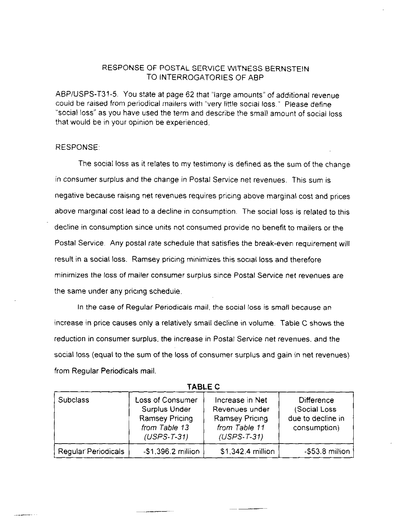ABP/USPS-T31-5. You state at page 62 that "large amounts" of additional revenue could be raised from periodical mailers with "very little social loss." Please define "social loss" as you have used the term and describe the small amount of social loss that would be in your opinion be experienced.

#### RESPONSE:

The social loss as it relates to my testimony is defined as the sum of the change in consumer surplus and the change in Postal Service net revenues. This sum is negative because raising net revenues requires pricing above marginal cost and prices, above rnarglnal cost lead to a decline in consumption. The social loss is related to this decline in consumption since units not consumed provide no benefit to mailers or the Postal Service. Any postal rate schedule that satisfies the break-even requirement will result in a social loss. Ramsey pricing minimizes this social loss and therefore minimizes the loss of mailer consumer surplus since Postal Service net revenues are the same under any pricing schedule.

In the case of Regular Periodicals mail, the social loss is small because an increase in price causes only a relatively small decline in volume. Table C shows the reduction in consumer surplus, the increase in Postal Service net revenues, and the social loss (equal to the sum of the loss of consumer surplus and gain in net revenues) from Regular Periodicals mail.

| <b>Subclass</b>            | Loss of Consumer<br>Surplus Under<br><b>Ramsey Pricing</b><br>from Table 13<br>$(USPS-T-31)$ | Increase in Net<br>Revenues under<br><b>Ramsey Pricing</b><br>from Table 11<br>$(USPS-T-31)$ | <b>Difference</b><br>(Social Loss<br>due to decline in<br>consumption) |
|----------------------------|----------------------------------------------------------------------------------------------|----------------------------------------------------------------------------------------------|------------------------------------------------------------------------|
| <b>Regular Periodicals</b> | $-$ \$1,396.2 million                                                                        | \$1,342.4 million                                                                            | $-553.8$ million                                                       |

TABLE C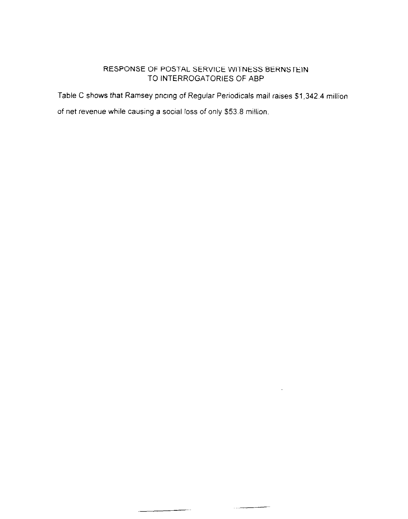Table C shows that Ramsey pricing of Regular Periodicals mail raises \$1,342.4 million

 $\overline{a}$  and  $\overline{a}$  are  $\overline{a}$ 

of net revenue while causing a social loss of only \$53.8 million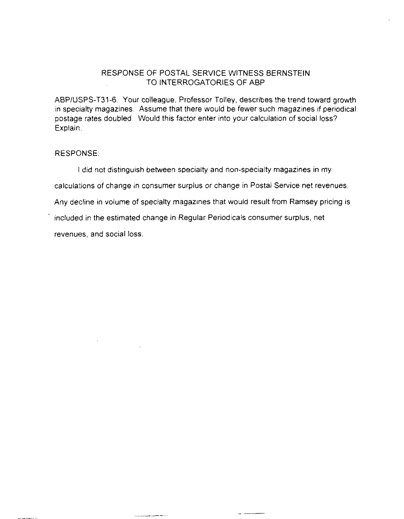ABPIUSPS-T31-6. Your colleague, Professor Tolley, describes the trend toward growth in specialty magazines. Assume that there would be fewer such magazines if periodical postage rates doubled. Would this factor enter into your calculation of social loss? Exolain.

## RESPONSE:

I did not distinguish between specialty and non-specialty magazines in my

calculations of change in consumer surplus or change in Postal Service net revenues.

Any decline in volume of specialty magazines that would result from Ramsey pricing is

 $-$ 

. included in the estimated change in Regular Periodicals consumer surplus, net

revenues, and social loss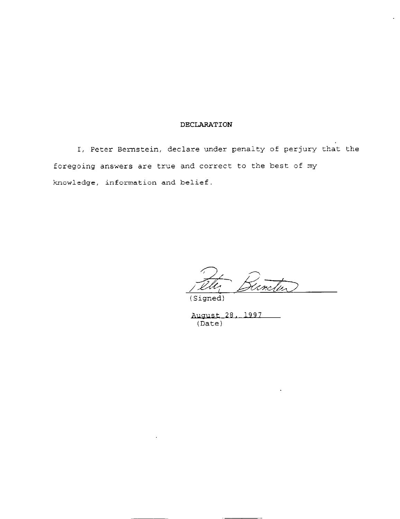#### DECLARATION

I, Peter Bernstein, declare under penalty of perjury that the foregoing answers are true and correct to the best of my knowledge, information and belief.

(Signed)

August 28, 1997<br>(Date)